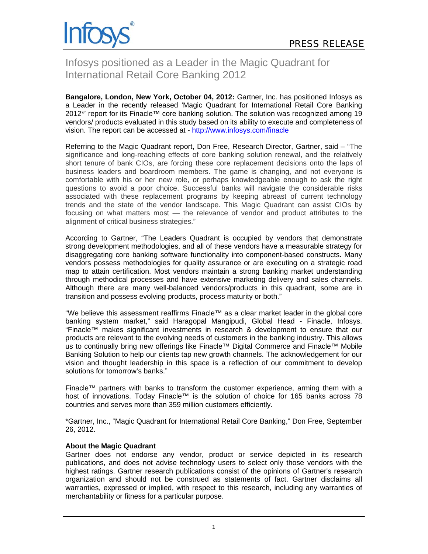

# Infosys positioned as a Leader in the Magic Quadrant for International Retail Core Banking 2012

**Bangalore, London, New York, October 04, 2012:** Gartner, Inc. has positioned Infosys as a Leader in the recently released 'Magic Quadrant for International Retail Core Banking 2012\*' report for its Finacle™ core banking solution. The solution was recognized among 19 vendors/ products evaluated in this study based on its ability to execute and completeness of vision. The report can be accessed at - http://www.infosys.com/finacle

Referring to the Magic Quadrant report, Don Free, Research Director, Gartner, said – "The significance and long-reaching effects of core banking solution renewal, and the relatively short tenure of bank CIOs, are forcing these core replacement decisions onto the laps of business leaders and boardroom members. The game is changing, and not everyone is comfortable with his or her new role, or perhaps knowledgeable enough to ask the right questions to avoid a poor choice. Successful banks will navigate the considerable risks associated with these replacement programs by keeping abreast of current technology trends and the state of the vendor landscape. This Magic Quadrant can assist CIOs by focusing on what matters most — the relevance of vendor and product attributes to the alignment of critical business strategies."

According to Gartner, "The Leaders Quadrant is occupied by vendors that demonstrate strong development methodologies, and all of these vendors have a measurable strategy for disaggregating core banking software functionality into component-based constructs. Many vendors possess methodologies for quality assurance or are executing on a strategic road map to attain certification. Most vendors maintain a strong banking market understanding through methodical processes and have extensive marketing delivery and sales channels. Although there are many well-balanced vendors/products in this quadrant, some are in transition and possess evolving products, process maturity or both."

"We believe this assessment reaffirms Finacle™ as a clear market leader in the global core banking system market," said Haragopal Mangipudi, Global Head - Finacle, Infosys. "Finacle™ makes significant investments in research & development to ensure that our products are relevant to the evolving needs of customers in the banking industry. This allows us to continually bring new offerings like Finacle™ Digital Commerce and Finacle™ Mobile Banking Solution to help our clients tap new growth channels. The acknowledgement for our vision and thought leadership in this space is a reflection of our commitment to develop solutions for tomorrow's banks."

Finacle™ partners with banks to transform the customer experience, arming them with a host of innovations. Today Finacle™ is the solution of choice for 165 banks across 78 countries and serves more than 359 million customers efficiently.

\*Gartner, Inc., "Magic Quadrant for International Retail Core Banking," Don Free, September 26, 2012.

## **About the Magic Quadrant**

Gartner does not endorse any vendor, product or service depicted in its research publications, and does not advise technology users to select only those vendors with the highest ratings. Gartner research publications consist of the opinions of Gartner's research organization and should not be construed as statements of fact. Gartner disclaims all warranties, expressed or implied, with respect to this research, including any warranties of merchantability or fitness for a particular purpose.